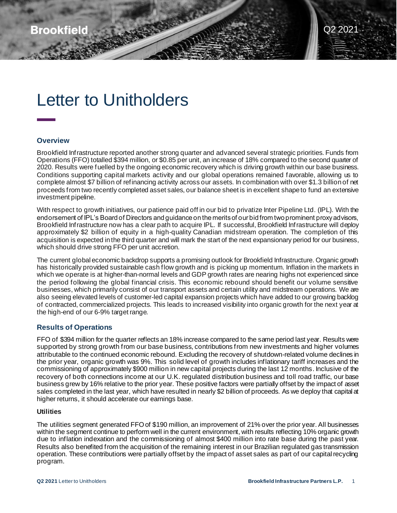# Letter to Unitholders

#### **Overview**

Brookfield Infrastructure reported another strong quarter and advanced several strategic priorities. Funds from Operations (FFO) totalled \$394 million, or \$0.85 per unit, an increase of 18% compared to the second quarter of 2020. Results were fuelled by the ongoing economic recovery which is driving growth within our base business. Conditions supporting capital markets activity and our global operations remained favorable, allowing us to complete almost \$7 billion of refinancing activity across our assets. In combination with over \$1.3 billion of net proceeds from two recently completed asset sales, our balance sheet is in excellent shape to fund an extensive investment pipeline.

Read

With respect to growth initiatives, our patience paid off in our bid to privatize Inter Pipeline Ltd. (IPL). With the endorsement of IPL's Board of Directors and guidance on the merits of our bid from two prominent proxy advisors, Brookfield Infrastructure now has a clear path to acquire IPL. If successful, Brookfield Infrastructure will deploy approximately \$2 billion of equity in a high-quality Canadian midstream operation. The completion of this acquisition is expected in the third quarter and will mark the start of the next expansionary period for our business, which should drive strong FFO per unit accretion.

The current global economic backdrop supports a promising outlook for Brookfield Infrastructure. Organic growth has historically provided sustainable cash flow growth and is picking up momentum. Inflation in the markets in which we operate is at higher-than-normal levels and GDP growth rates are nearing highs not experienced since the period following the global financial crisis. This economic rebound should benefit our volume sensitive businesses, which primarily consist of our transport assets and certain utility and midstream operations. We are also seeing elevated levels of customer-led capital expansion projects which have added to our growing backlog of contracted, commercialized projects. This leads to increased visibility into organic growth for the next year at the high-end of our 6-9% target range.

### **Results of Operations**

FFO of \$394 million for the quarter reflects an 18% increase compared to the same period last year. Results were supported by strong growth from our base business, contributions from new investments and higher volumes attributable to the continued economic rebound. Excluding the recovery of shutdown-related volume declines in the prior year, organic growth was 9%. This solid level of growth includes inflationary tariff increases and the commissioning of approximately \$900 million in new capital projects during the last 12 months. Inclusive of the recovery of both connections income at our U.K. regulated distribution business and toll road traffic, our base business grew by 16% relative to the prior year. These positive factors were partially offset by the impact of asset sales completed in the last year, which have resulted in nearly \$2 billion of proceeds. As we deploy that capital at higher returns, it should accelerate our earnings base.

#### **Utilities**

The utilities segment generated FFO of \$190 million, an improvement of 21% over the prior year. All businesses within the segment continue to perform well in the current environment, with results reflecting 10% organic growth due to inflation indexation and the commissioning of almost \$400 million into rate base during the past year. Results also benefited from the acquisition of the remaining interest in our Brazilian regulated gas transmission operation. These contributions were partially offset by the impact of asset sales as part of our capital recycling program.

Q2 2021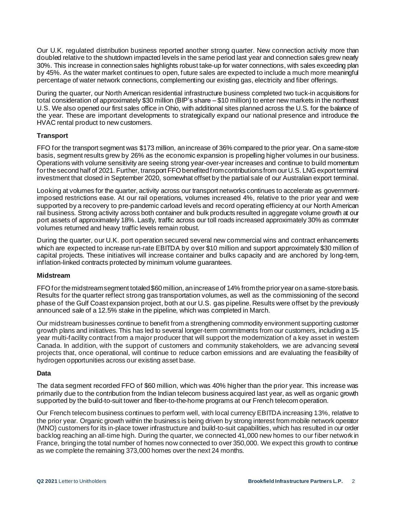Our U.K. regulated distribution business reported another strong quarter. New connection activity more than doubled relative to the shutdown impacted levels in the same period last year and connection sales grew nearly 30%. This increase in connection sales highlights robust take-up for water connections, with sales exceeding plan by 45%. As the water market continues to open, future sales are expected to include a much more meaningful percentage of water network connections, complementing our existing gas, electricity and fiber offerings.

During the quarter, our North American residential infrastructure business completed two tuck-in acquisitions for total consideration of approximately \$30 million (BIP's share – \$10 million) to enter new markets in the northeast U.S. We also opened our first sales office in Ohio, with additional sites planned across the U.S. for the balance of the year. These are important developments to strategically expand our national presence and introduce the HVAC rental product to new customers.

#### **Transport**

FFO for the transport segment was \$173 million, an increase of 36% compared to the prior year. On a same-store basis, segment results grew by 26% as the economic expansion is propelling higher volumes in our business. Operations with volume sensitivity are seeing strong year-over-year increases and continue to build momentum for the second half of 2021. Further, transport FFO benefited from contributionsfrom our U.S. LNG export terminal investment that closed in September 2020, somewhat offset by the partial sale of our Australian export terminal.

Looking at volumes for the quarter, activity across our transport networks continues to accelerate as governmentimposed restrictions ease. At our rail operations, volumes increased 4%, relative to the prior year and were supported by a recovery to pre-pandemic carload levels and record operating efficiency at our North American rail business. Strong activity across both container and bulk products resulted in aggregate volume growth at our port assets of approximately 18%. Lastly, traffic across our toll roads increased approximately 30% as commuter volumes returned and heavy traffic levels remain robust.

During the quarter, our U.K. port operation secured several new commercial wins and contract enhancements which are expected to increase run-rate EBITDA by over \$10 million and support approximately \$30 million of capital projects. These initiatives will increase container and bulks capacity and are anchored by long-term, inflation-linked contracts protected by minimum volume guarantees.

#### **Midstream**

FFO for the midstream segment totaled \$60million, an increase of 14% from the prior year on a same-store basis. Results for the quarter reflect strong gas transportation volumes, as well as the commissioning of the second phase of the Gulf Coast expansion project, both at our U.S. gas pipeline. Results were offset by the previously announced sale of a 12.5% stake in the pipeline, which was completed in March.

Our midstream businesses continue to benefit from a strengthening commodity environment supporting customer growth plans and initiatives. This has led to several longer-term commitments from our customers, including a 15 year multi-facility contract from a major producer that will support the modernization of a key asset in westem Canada. In addition, with the support of customers and community stakeholders, we are advancing several projects that, once operational, will continue to reduce carbon emissions and are evaluating the feasibility of hydrogen opportunities across our existing asset base.

#### **Data**

The data segment recorded FFO of \$60 million, which was 40% higher than the prior year. This increase was primarily due to the contribution from the Indian telecom business acquired last year, as well as organic growth supported by the build-to-suit tower and fiber-to-the-home programs at our French telecom operation.

Our French telecom business continues to perform well, with local currency EBITDA increasing 13%, relative to the prior year. Organic growth within the business is being driven by strong interest from mobile network operator (MNO) customers for its in-place tower infrastructure and build-to-suit capabilities, which has resulted in our order backlog reaching an all-time high. During the quarter, we connected 41,000 new homes to our fiber network in France, bringing the total number of homes now connected to over 350,000. We expect this growth to continue as we complete the remaining 373,000 homes over the next 24 months.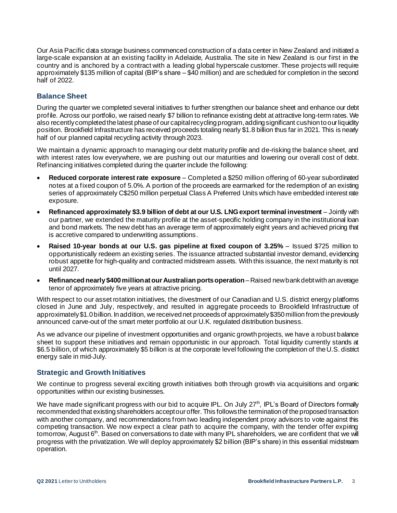Our Asia Pacific data storage business commenced construction of a data center in New Zealand and initiated a large-scale expansion at an existing facility in Adelaide, Australia. The site in New Zealand is our first in the country and is anchored by a contract with a leading global hyperscale customer. These projects will require approximately \$135 million of capital (BIP's share – \$40 million) and are scheduled for completion in the second half of 2022.

# **Balance Sheet**

During the quarter we completed several initiatives to further strengthen our balance sheet and enhance our debt profile. Across our portfolio, we raised nearly \$7 billion to refinance existing debt at attractive long-term rates. We also recently completed the latest phase of our capital recycling program, adding significant cushion to our liquidity position. Brookfield Infrastructure has received proceeds totaling nearly \$1.8 billion thus far in 2021. This is nearly half of our planned capital recycling activity through 2023.

We maintain a dynamic approach to managing our debt maturity profile and de-risking the balance sheet, and with interest rates low everywhere, we are pushing out our maturities and lowering our overall cost of debt. Refinancing initiatives completed during the quarter include the following:

- **Reduced corporate interest rate exposure** Completed a \$250 million offering of 60-year subordinated notes at a fixed coupon of 5.0%. A portion of the proceeds are earmarked for the redemption of an existing series of approximately C\$250 million perpetual Class A Preferred Units which have embedded interest rate exposure.
- **Refinanced approximately \$3.9 billion of debt at our U.S. LNG export terminal investment** Jointly with our partner, we extended the maturity profile at the asset-specific holding company in the institutional loan and bond markets. The new debt has an average term of approximately eight years and achieved pricing that is accretive compared to underwriting assumptions.
- **Raised 10-year bonds at our U.S. gas pipeline at fixed coupon of 3.25%**  Issued \$725 million to opportunistically redeem an existing series. The issuance attracted substantial investor demand, evidencing robust appetite for high-quality and contracted midstream assets. With this issuance, the next maturity is not until 2027.
- **Refinanced nearly \$400 million at our Australian ports operation**–Raised new bank debt with an average tenor of approximately five years at attractive pricing.

With respect to our asset rotation initiatives, the divestment of our Canadian and U.S. district energy platforms closed in June and July, respectively, and resulted in aggregate proceeds to Brookfield Infrastructure of approximately \$1.0 billion. In addition, we received net proceeds of approximately \$350 million from the previously announced carve-out of the smart meter portfolio at our U.K. regulated distribution business.

As we advance our pipeline of investment opportunities and organic growth projects, we have a robust balance sheet to support these initiatives and remain opportunistic in our approach. Total liquidity currently stands at \$6.5 billion, of which approximately \$5 billion is at the corporate level following the completion of the U.S. district energy sale in mid-July.

#### **Strategic and Growth Initiatives**

We continue to progress several exciting growth initiatives both through growth via acquisitions and organic opportunities within our existing businesses.

We have made significant progress with our bid to acquire IPL. On July 27<sup>th</sup>, IPL's Board of Directors formally recommended that existing shareholders accept our offer. This follows the termination of the proposed transaction with another company, and recommendations from two leading independent proxy advisors to vote against this competing transaction. We now expect a clear path to acquire the company, with the tender offer expiring tomorrow, August  $6<sup>th</sup>$ . Based on conversations to date with many IPL shareholders, we are confident that we will progress with the privatization. We will deploy approximately \$2 billion (BIP's share) in this essential midstream operation.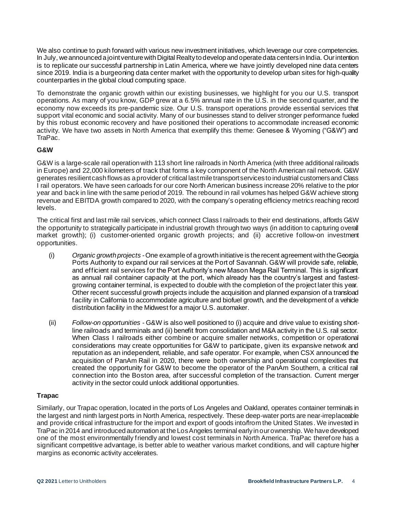We also continue to push forward with various new investment initiatives, which leverage our core competencies. In July, we announced a joint venture with Digital Realty to develop and operate data centers in India. Our intention is to replicate our successful partnership in Latin America, where we have jointly developed nine data centers since 2019. India is a burgeoning data center market with the opportunity to develop urban sites for high-quality counterparties in the global cloud computing space.

To demonstrate the organic growth within our existing businesses, we highlight for you our U.S. transport operations. As many of you know, GDP grew at a 6.5% annual rate in the U.S. in the second quarter, and the economy now exceeds its pre-pandemic size. Our U.S. transport operations provide essential services that support vital economic and social activity. Many of our businesses stand to deliver stronger performance fueled by this robust economic recovery and have positioned their operations to accommodate increased economic activity. We have two assets in North America that exemplify this theme: Genesee & Wyoming ("G&W") and TraPac.

## **G&W**

G&W is a large-scale rail operation with 113 short line railroads in North America (with three additional railroads in Europe) and 22,000 kilometers of track that forms a key component of the North American rail network. G&W generates resilient cash flows as a provider of critical last mile transport services to industrial customers and Class I rail operators. We have seen carloads for our core North American business increase 20% relative to the prior year and back in line with the same period of 2019. The rebound in rail volumes has helped G&W achieve strong revenue and EBITDA growth compared to 2020, with the company's operating efficiency metrics reaching record levels.

The critical first and last mile rail services, which connect Class I railroads to their end destinations, affords G&W the opportunity to strategically participate in industrial growth through two ways (in addition to capturing overall market growth); (i) customer-oriented organic growth projects; and (ii) accretive follow-on investment opportunities.

- (i) *Organic growth projects -*One example of a growth initiative is the recent agreement with the Georgia Ports Authority to expand our rail services at the Port of Savannah. G&W will provide safe, reliable, and efficient rail services for the Port Authority's new Mason Mega Rail Terminal. This is significant as annual rail container capacity at the port, which already has the country's largest and fastestgrowing container terminal, is expected to double with the completion of the project later this year. Other recent successful growth projects include the acquisition and planned expansion of a transload facility in California to accommodate agriculture and biofuel growth, and the development of a vehicle distribution facility in the Midwest for a major U.S. automaker.
- (ii) *Follow-on opportunities -* G&W is also well positioned to (i) acquire and drive value to existing shortline railroads and terminals and (ii) benefit from consolidation and M&A activity in the U.S. rail sector. When Class I railroads either combine or acquire smaller networks, competition or operational considerations may create opportunities for G&W to participate, given its expansive network and reputation as an independent, reliable, and safe operator. For example, when CSX announced the acquisition of PanAm Rail in 2020, there were both ownership and operational complexities that created the opportunity for G&W to become the operator of the PanAm Southern, a critical rail connection into the Boston area, after successful completion of the transaction. Current merger activity in the sector could unlock additional opportunities.

#### **Trapac**

Similarly, our Trapac operation, located in the ports of Los Angeles and Oakland, operates container terminals in the largest and ninth largest ports in North America, respectively. These deep-water ports are near-irreplaceable and provide critical infrastructure for the import and export of goods into/from the United States . We invested in TraPac in 2014 and introduced automation at the Los Angeles terminal early in our ownership. We have developed one of the most environmentally friendly and lowest cost terminals in North America. TraPac therefore has a significant competitive advantage, is better able to weather various market conditions, and will capture higher margins as economic activity accelerates.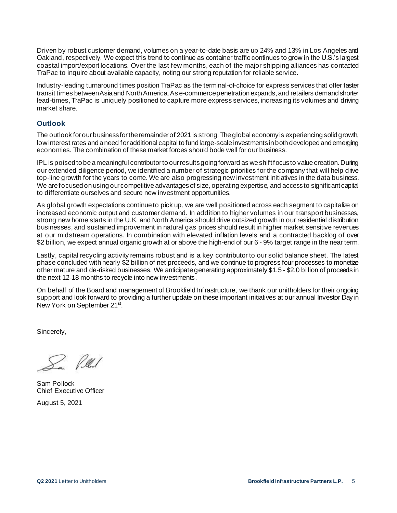Driven by robust customer demand, volumes on a year-to-date basis are up 24% and 13% in Los Angeles and Oakland, respectively. We expect this trend to continue as container traffic continues to grow in the U.S.'s largest coastal import/export locations. Over the last few months, each of the major shipping alliances has contacted TraPac to inquire about available capacity, noting our strong reputation for reliable service.

Industry-leading turnaround times position TraPac as the terminal-of-choice for express services that offer faster transit times between Asia and North America. As e-commerce penetration expands, and retailers demand shorter lead-times, TraPac is uniquely positioned to capture more express services, increasing its volumes and driving market share.

# **Outlook**

The outlook for our business for the remainder of 2021 is strong. The global economy is experiencing solid growth, low interest rates and a need for additional capital to fund large-scale investments in both developed and emerging economies. The combination of these market forces should bode well for our business.

IPL is poised to be a meaningful contributor to our results going forward as we shift focus to value creation. During our extended diligence period, we identified a number of strategic priorities for the company that will help drive top-line growth for the years to come. We are also progressing new investment initiatives in the data business. We are focused on using our competitive advantages of size, operating expertise, and access to significant capital to differentiate ourselves and secure new investment opportunities.

As global growth expectations continue to pick up, we are well positioned across each segment to capitalize on increased economic output and customer demand. In addition to higher volumes in our transport businesses, strong new home starts in the U.K. and North America should drive outsized growth in our residential distribution businesses, and sustained improvement in natural gas prices should result in higher market sensitive revenues at our midstream operations. In combination with elevated inflation levels and a contracted backlog of over \$2 billion, we expect annual organic growth at or above the high-end of our 6 - 9% target range in the near term.

Lastly, capital recycling activity remains robust and is a key contributor to our solid balance sheet. The latest phase concluded with nearly \$2 billion of net proceeds, and we continue to progress four processes to monetize other mature and de-risked businesses. We anticipate generating approximately \$1.5 - \$2.0 billion of proceeds in the next 12-18 months to recycle into new investments.

On behalf of the Board and management of Brookfield Infrastructure, we thank our unitholders for their ongoing support and look forward to providing a further update on these important initiatives at our annual Investor Day in New York on September 21<sup>st</sup>.

Sincerely,

? Peul

Sam Pollock Chief Executive Officer

August 5, 2021